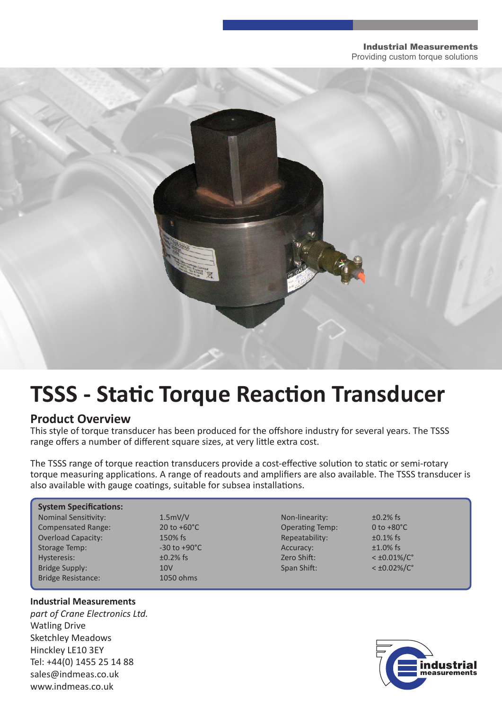#### Industrial Measurements Providing custom torque solutions



# **TSSS - Static Torque Reaction Transducer**

### **Product Overview**

This style of torque transducer has been produced for the offshore industry for several years. The TSSS range offers a number of different square sizes, at very little extra cost.

The TSSS range of torque reaction transducers provide a cost-effective solution to static or semi-rotary torque measuring applications. A range of readouts and amplifiers are also available. The TSSS transducer is also available with gauge coatings, suitable for subsea installations.

| <b>System Specifications:</b> |                                |                        |                         |
|-------------------------------|--------------------------------|------------------------|-------------------------|
| <b>Nominal Sensitivity:</b>   | 1.5mV/V                        | Non-linearity:         | $\pm 0.2\%$ fs          |
| <b>Compensated Range:</b>     | $20 \text{ to } +60^{\circ}$ C | <b>Operating Temp:</b> | 0 to $+80^{\circ}$ C    |
| <b>Overload Capacity:</b>     | 150% fs                        | Repeatability:         | $\pm 0.1\%$ fs          |
| Storage Temp:                 | $-30$ to $+90^{\circ}$ C       | Accuracy:              | $±1.0\%$ fs             |
| Hysteresis:                   | $\pm 0.2\%$ fs                 | Zero Shift:            | $<$ ±0.01%/ $C^{\circ}$ |
| Bridge Supply:                | 10 <sub>V</sub>                | Span Shift:            | $<$ ±0.02%/C $^{\circ}$ |
| <b>Bridge Resistance:</b>     | 1050 ohms                      |                        |                         |

#### **Industrial Measurements**

*part of Crane Electronics Ltd.* Watling Drive Sketchley Meadows Hinckley LE10 3EY Tel: +44(0) 1455 25 14 88 sales@indmeas.co.uk www.indmeas.co.uk